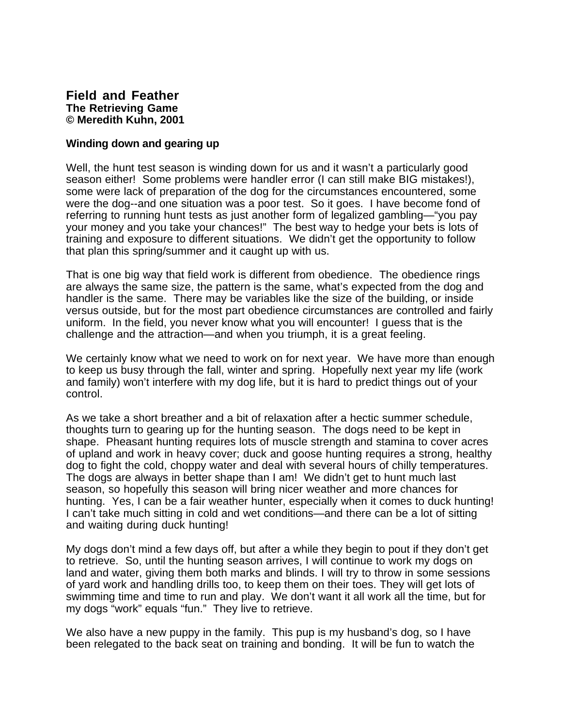## **Field and Feather The Retrieving Game © Meredith Kuhn, 2001**

## **Winding down and gearing up**

Well, the hunt test season is winding down for us and it wasn't a particularly good season either! Some problems were handler error (I can still make BIG mistakes!), some were lack of preparation of the dog for the circumstances encountered, some were the dog--and one situation was a poor test. So it goes. I have become fond of referring to running hunt tests as just another form of legalized gambling—"you pay your money and you take your chances!" The best way to hedge your bets is lots of training and exposure to different situations. We didn't get the opportunity to follow that plan this spring/summer and it caught up with us.

That is one big way that field work is different from obedience. The obedience rings are always the same size, the pattern is the same, what's expected from the dog and handler is the same. There may be variables like the size of the building, or inside versus outside, but for the most part obedience circumstances are controlled and fairly uniform. In the field, you never know what you will encounter! I guess that is the challenge and the attraction—and when you triumph, it is a great feeling.

We certainly know what we need to work on for next year. We have more than enough to keep us busy through the fall, winter and spring. Hopefully next year my life (work and family) won't interfere with my dog life, but it is hard to predict things out of your control.

As we take a short breather and a bit of relaxation after a hectic summer schedule, thoughts turn to gearing up for the hunting season. The dogs need to be kept in shape. Pheasant hunting requires lots of muscle strength and stamina to cover acres of upland and work in heavy cover; duck and goose hunting requires a strong, healthy dog to fight the cold, choppy water and deal with several hours of chilly temperatures. The dogs are always in better shape than I am! We didn't get to hunt much last season, so hopefully this season will bring nicer weather and more chances for hunting. Yes, I can be a fair weather hunter, especially when it comes to duck hunting! I can't take much sitting in cold and wet conditions—and there can be a lot of sitting and waiting during duck hunting!

My dogs don't mind a few days off, but after a while they begin to pout if they don't get to retrieve. So, until the hunting season arrives, I will continue to work my dogs on land and water, giving them both marks and blinds. I will try to throw in some sessions of yard work and handling drills too, to keep them on their toes. They will get lots of swimming time and time to run and play. We don't want it all work all the time, but for my dogs "work" equals "fun." They live to retrieve.

We also have a new puppy in the family. This pup is my husband's dog, so I have been relegated to the back seat on training and bonding. It will be fun to watch the